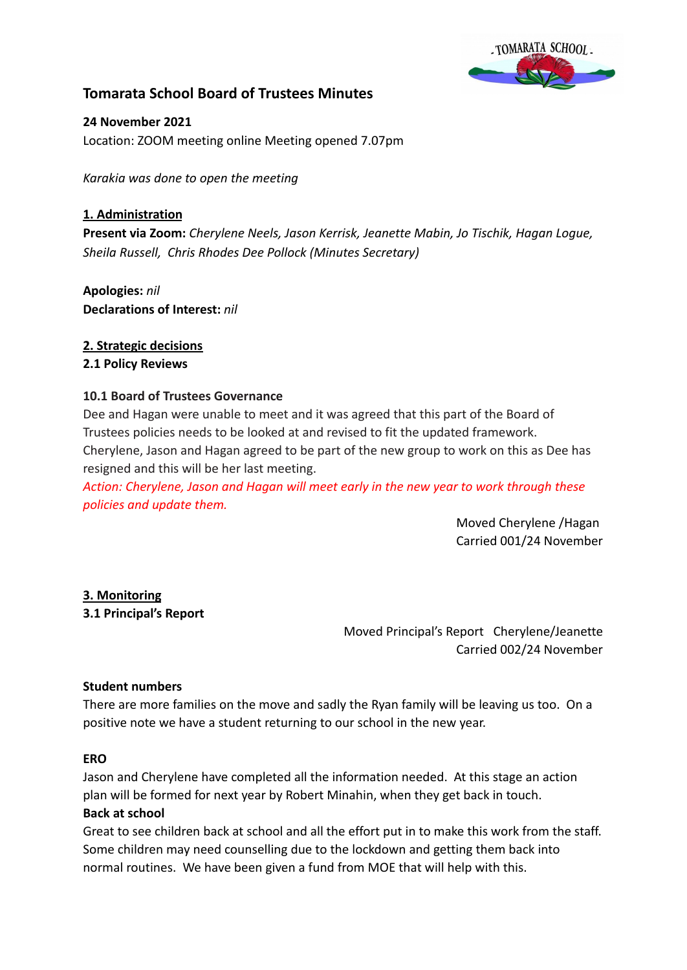

## **Tomarata School Board of Trustees Minutes**

**24 November 2021** Location: ZOOM meeting online Meeting opened 7.07pm

*Karakia was done to open the meeting*

### **1. Administration**

**Present via Zoom:** *Cherylene Neels, Jason Kerrisk, Jeanette Mabin, Jo Tischik, Hagan Logue, Sheila Russell, Chris Rhodes Dee Pollock (Minutes Secretary)*

**Apologies:** *nil* **Declarations of Interest:** *nil*

# **2. Strategic decisions**

## **2.1 Policy Reviews**

## **10.1 Board of Trustees Governance**

Dee and Hagan were unable to meet and it was agreed that this part of the Board of Trustees policies needs to be looked at and revised to fit the updated framework. Cherylene, Jason and Hagan agreed to be part of the new group to work on this as Dee has resigned and this will be her last meeting.

*Action: Cherylene, Jason and Hagan will meet early in the new year to work through these policies and update them.*

> Moved Cherylene /Hagan Carried 001/24 November

## **3. Monitoring**

#### **3.1 Principal's Report**

Moved Principal's Report Cherylene/Jeanette Carried 002/24 November

#### **Student numbers**

There are more families on the move and sadly the Ryan family will be leaving us too. On a positive note we have a student returning to our school in the new year.

#### **ERO**

Jason and Cherylene have completed all the information needed. At this stage an action plan will be formed for next year by Robert Minahin, when they get back in touch.

#### **Back at school**

Great to see children back at school and all the effort put in to make this work from the staff. Some children may need counselling due to the lockdown and getting them back into normal routines. We have been given a fund from MOE that will help with this.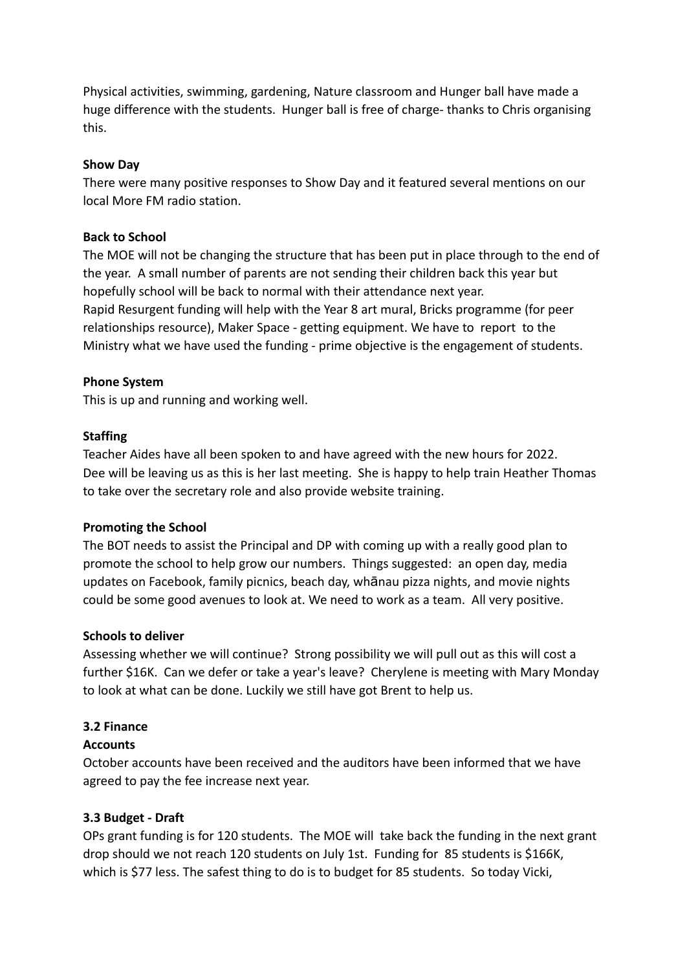Physical activities, swimming, gardening, Nature classroom and Hunger ball have made a huge difference with the students. Hunger ball is free of charge- thanks to Chris organising this.

#### **Show Day**

There were many positive responses to Show Day and it featured several mentions on our local More FM radio station.

## **Back to School**

The MOE will not be changing the structure that has been put in place through to the end of the year. A small number of parents are not sending their children back this year but hopefully school will be back to normal with their attendance next year. Rapid Resurgent funding will help with the Year 8 art mural, Bricks programme (for peer relationships resource), Maker Space - getting equipment. We have to report to the Ministry what we have used the funding - prime objective is the engagement of students.

## **Phone System**

This is up and running and working well.

## **Staffing**

Teacher Aides have all been spoken to and have agreed with the new hours for 2022. Dee will be leaving us as this is her last meeting. She is happy to help train Heather Thomas to take over the secretary role and also provide website training.

#### **Promoting the School**

The BOT needs to assist the Principal and DP with coming up with a really good plan to promote the school to help grow our numbers. Things suggested: an open day, media updates on Facebook, family picnics, beach day, whānau pizza nights, and movie nights could be some good avenues to look at. We need to work as a team. All very positive.

#### **Schools to deliver**

Assessing whether we will continue? Strong possibility we will pull out as this will cost a further \$16K. Can we defer or take a year's leave? Cherylene is meeting with Mary Monday to look at what can be done. Luckily we still have got Brent to help us.

## **3.2 Finance**

## **Accounts**

October accounts have been received and the auditors have been informed that we have agreed to pay the fee increase next year.

## **3.3 Budget - Draft**

OPs grant funding is for 120 students. The MOE will take back the funding in the next grant drop should we not reach 120 students on July 1st. Funding for 85 students is \$166K, which is \$77 less. The safest thing to do is to budget for 85 students. So today Vicki,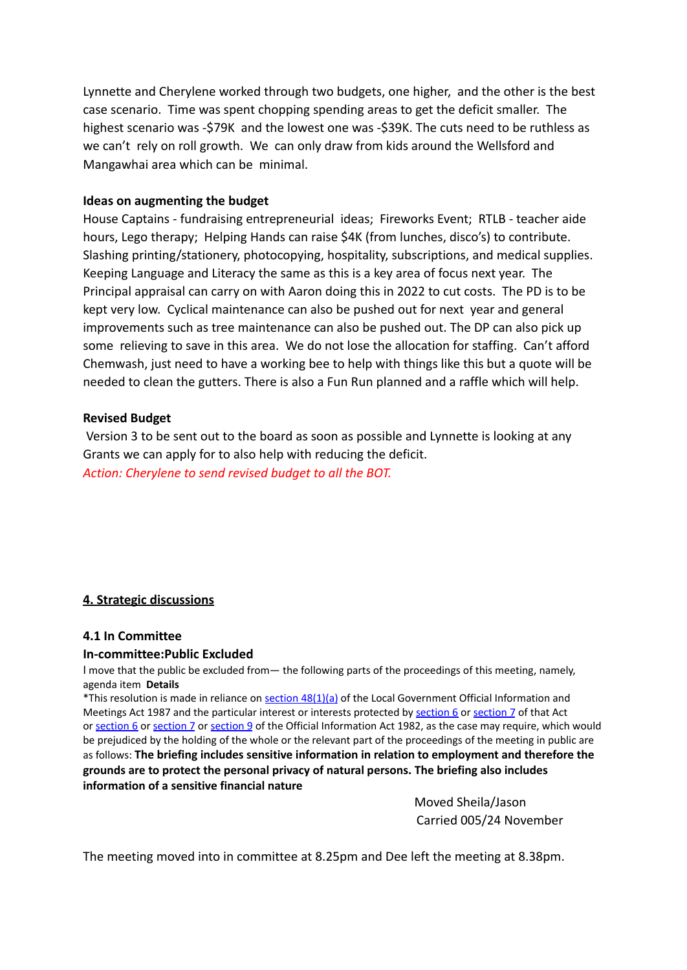Lynnette and Cherylene worked through two budgets, one higher, and the other is the best case scenario. Time was spent chopping spending areas to get the deficit smaller. The highest scenario was -\$79K and the lowest one was -\$39K. The cuts need to be ruthless as we can't rely on roll growth. We can only draw from kids around the Wellsford and Mangawhai area which can be minimal.

#### **Ideas on augmenting the budget**

House Captains - fundraising entrepreneurial ideas; Fireworks Event; RTLB - teacher aide hours, Lego therapy; Helping Hands can raise \$4K (from lunches, disco's) to contribute. Slashing printing/stationery, photocopying, hospitality, subscriptions, and medical supplies. Keeping Language and Literacy the same as this is a key area of focus next year. The Principal appraisal can carry on with Aaron doing this in 2022 to cut costs. The PD is to be kept very low. Cyclical maintenance can also be pushed out for next year and general improvements such as tree maintenance can also be pushed out. The DP can also pick up some relieving to save in this area. We do not lose the allocation for staffing. Can't afford Chemwash, just need to have a working bee to help with things like this but a quote will be needed to clean the gutters. There is also a Fun Run planned and a raffle which will help.

#### **Revised Budget**

Version 3 to be sent out to the board as soon as possible and Lynnette is looking at any Grants we can apply for to also help with reducing the deficit. *Action: Cherylene to send revised budget to all the BOT.*

#### **4. Strategic discussions**

#### **4.1 In Committee**

#### **In-committee:Public Excluded**

I move that the public be excluded from— the following parts of the proceedings of this meeting, namely, agenda item **Details**

\*This resolution is made in reliance on section [48\(1\)\(a\)](http://www.legislation.govt.nz/act/public/1987/0174/latest/link.aspx?id=DLM123095#DLM123095) of the Local Government Official Information and Meetings Act 1987 and the particular interest or interests protected by [section](http://www.legislation.govt.nz/act/public/1987/0174/latest/link.aspx?id=DLM122287#DLM122287) 6 or section 7 of that Act or [section](http://www.legislation.govt.nz/act/public/1987/0174/latest/link.aspx?id=DLM65366#DLM65366) 6 or [section](http://www.legislation.govt.nz/act/public/1987/0174/latest/link.aspx?id=DLM65368#DLM65368) 7 or [section](http://www.legislation.govt.nz/act/public/1987/0174/latest/link.aspx?id=DLM65371#DLM65371) 9 of the Official Information Act 1982, as the case may require, which would be prejudiced by the holding of the whole or the relevant part of the proceedings of the meeting in public are as follows: **The briefing includes sensitive information in relation to employment and therefore the grounds are to protect the personal privacy of natural persons. The briefing also includes information of a sensitive financial nature**

> Moved Sheila/Jason Carried 005/24 November

The meeting moved into in committee at 8.25pm and Dee left the meeting at 8.38pm.